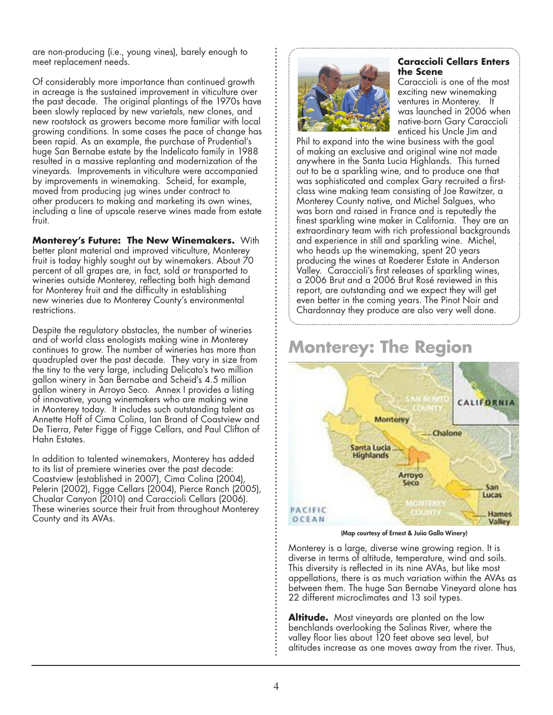are non-producing (i.e., young vines), barely enough to meet replacement needs.

Of considerably more importance than continued growth in acreage is the sustained improvement in viticulture over the past decade. The original plantings of the 1970s have been slowly replaced by new varietals, new clones, and new rootstock as growers become more familiar with local growing conditions. In some cases the pace of change has been rapid. As an example, the purchase of Prudential's huge San Bernabe estate by the Indelicato family in 1988 resulted in a massive replanting and modernization of the vineyards. Improvements in viticulture were accompanied by improvements in winemaking. Scheid, for example, moved from producing jug wines under contract to other producers to making and marketing its own wines, including a line of upscale reserve wines made from estate fruit.

**Monterey's Future: The New Winemakers.** With better plant material and improved viticulture, Monterey fruit is today highly sought out by winemakers. About 70 percent of all grapes are, in fact, sold or transported to wineries outside Monterey, reflecting both high demand for Monterey fruit and the difficulty in establishing new wineries due to Monterey County's environmental restrictions.

Despite the regulatory obstacles, the number of wineries and of world class enologists making wine in Monterey continues to grow. The number of wineries has more than quadrupled over the past decade. They vary in size from the tiny to the very large, including Delicato's two million gallon winery in San Bernabe and Scheid's 4.5 million gallon winery in Arroyo Seco. Annex I provides a listing of innovative, young winemakers who are making wine in Monterey today. It includes such outstanding talent as Annette Hoff of Cima Colina, Ian Brand of Coastview and De Tierra, Peter Figge of Figge Cellars, and Paul Clifton of Hahn Estates.

In addition to talented winemakers, Monterey has added to its list of premiere wineries over the past decade: Coastview (established in 2007), Cima Colina (2004), Pelerin (2002), Figge Cellars (2004), Pierce Ranch (2005), Chualar Canyon (2010) and Caraccioli Cellars (2006). These wineries source their fruit from throughout Monterey County and its AVAs.



# **Caraccioli Cellars Enters the Scene**

Caraccioli is one of the most exciting new winemaking ventures in Monterey. It was launched in 2006 when native-born Gary Caraccioli enticed his Uncle Jim and

Phil to expand into the wine business with the goal of making an exclusive and original wine not made anywhere in the Santa Lucia Highlands. This turned out to be a sparkling wine, and to produce one that was sophisticated and complex Gary recruited a firstclass wine making team consisting of Joe Rawitzer, a Monterey County native, and Michel Salgues, who was born and raised in France and is reputedly the finest sparkling wine maker in California. They are an extraordinary team with rich professional backgrounds and experience in still and sparkling wine. Michel, who heads up the winemaking, spent 20 years producing the wines at Roederer Estate in Anderson Valley. Caraccioli's first releases of sparkling wines, a 2006 Brut and a 2006 Brut Rosé reviewed in this report, are outstanding and we expect they will get even better in the coming years. The Pinot Noir and Chardonnay they produce are also very well done.

# **Monterey: The Region**



(Map courtesy of Ernest & Juiio Gallo Winery)

Monterey is a large, diverse wine growing region. It is diverse in terms of altitude, temperature, wind and soils. This diversity is reflected in its nine AVAs, but like most appellations, there is as much variation within the AVAs as between them. The huge San Bernabe Vineyard alone has 22 different microclimates and 13 soil types.

**Altitude.** Most vineyards are planted on the low benchlands overlooking the Salinas River, where the valley floor lies about 120 feet above sea level, but altitudes increase as one moves away from the river. Thus,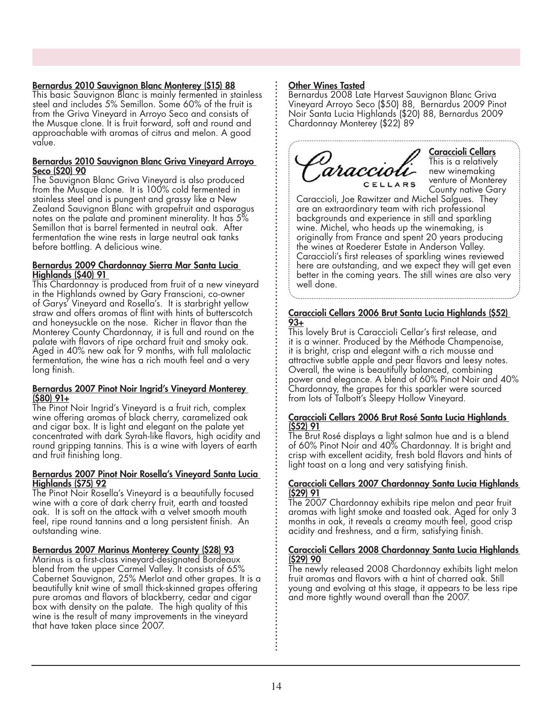## Bernardus 2010 Sauvignon Blanc Monterey (\$15) 88

This basic Sauvignon Blanc is mainly fermented in stainless steel and includes 5% Semillon. Some 60% of the fruit is from the Griva Vineyard in Arroyo Seco and consists of the Musque clone. It is fruit forward, soft and round and approachable with aromas of citrus and melon. A good value.

#### Bernardus 2010 Sauvignon Blanc Griva Vineyard Arroyo Seco (\$20) 90

The Sauvignon Blanc Griva Vineyard is also produced from the Musque clone. It is 100% cold fermented in stainless steel and is pungent and grassy like a New Zealand Sauvignon Blanc with grapefruit and asparagus notes on the palate and prominent minerality. It has 5% Semillon that is barrel fermented in neutral oak. After fermentation the wine rests in large neutral oak tanks before bottling. A delicious wine.

#### Bernardus 2009 Chardonnay Sierra Mar Santa Lucia Highlands (\$40) 91

This Chardonnay is produced from fruit of a new vineyard in the Highlands owned by Gary Franscioni, co-owner of Garys' Vineyard and Rosella's. It is starbright yellow straw and offers aromas of flint with hints of butterscotch and honeysuckle on the nose. Richer in flavor than the Monterey County Chardonnay, it is full and round on the palate with flavors of ripe orchard fruit and smoky oak. Aged in 40% new oak for 9 months, with full malolactic fermentation, the wine has a rich mouth feel and a very long finish.

#### Bernardus 2007 Pinot Noir Ingrid's Vineyard Monterey (\$80) 91+

The Pinot Noir Ingrid's Vineyard is a fruit rich, complex wine offering aromas of black cherry, caramelized oak and cigar box. It is light and elegant on the palate yet concentrated with dark Syrah-like flavors, high acidity and round gripping tannins. This is a wine with layers of earth and fruit finishing long.

#### Bernardus 2007 Pinot Noir Rosella's Vineyard Santa Lucia Highlands (\$75) 92

The Pinot Noir Rosella's Vineyard is a beautifully focused wine with a core of dark cherry fruit, earth and toasted oak. It is soft on the attack with a velvet smooth mouth feel, ripe round tannins and a long persistent finish. An outstanding wine.

# Bernardus 2007 Marinus Monterey County (\$28) 93

Marinus is a first-class vineyard-designated Bordeaux blend from the upper Carmel Valley. It consists of 65% Cabernet Sauvignon, 25% Merlot and other grapes. It is a beautifully knit wine of small thick-skinned grapes offering pure aromas and flavors of blackberry, cedar and cigar box with density on the palate. The high quality of this wine is the result of many improvements in the vineyard that have taken place since 2007.

# Other Wines Tasted

Bernardus 2008 Late Harvest Sauvignon Blanc Griva Vineyard Arroyo Seco (\$50) 88, Bernardus 2009 Pinot Noir Santa Lucia Highlands (\$20) 88, Bernardus 2009 Chardonnay Monterey (\$22) 89



#### Caraccioli Cellars This is a relatively new winemaking venture of Monterey County native Gary

Caraccioli, Joe Rawitzer and Michel Salgues. They are an extraordinary team with rich professional backgrounds and experience in still and sparkling wine. Michel, who heads up the winemaking, is originally from France and spent 20 years producing the wines at Roederer Estate in Anderson Valley. Caraccioli's first releases of sparkling wines reviewed here are outstanding, and we expect they will get even better in the coming years. The still wines are also very well done.

#### Caraccioli Cellars 2006 Brut Santa Lucia Highlands (\$52) 93+

This lovely Brut is Caraccioli Cellar's first release, and it is a winner. Produced by the Méthode Champenoise, it is bright, crisp and elegant with a rich mousse and attractive subtle apple and pear flavors and leesy notes. Overall, the wine is beautifully balanced, combining power and elegance. A blend of 60% Pinot Noir and 40% Chardonnay, the grapes for this sparkler were sourced from lots of Talbott's Sleepy Hollow Vineyard.

#### Caraccioli Cellars 2006 Brut Rosé Santa Lucia Highlands (\$52) 91

The Brut Rosé displays a light salmon hue and is a blend of 60% Pinot Noir and 40% Chardonnay. It is bright and crisp with excellent acidity, fresh bold flavors and hints of light toast on a long and very satisfying finish.

#### Caraccioli Cellars 2007 Chardonnay Santa Lucia Highlands (\$29) 91

The 2007 Chardonnay exhibits ripe melon and pear fruit aromas with light smoke and toasted oak. Aged for only 3 months in oak, it reveals a creamy mouth feel, good crisp acidity and freshness, and a firm, satisfying finish.

## Caraccioli Cellars 2008 Chardonnay Santa Lucia Highlands (\$29) 90

The newly released 2008 Chardonnay exhibits light melon fruit aromas and flavors with a hint of charred oak. Still young and evolving at this stage, it appears to be less ripe and more tightly wound overall than the 2007.